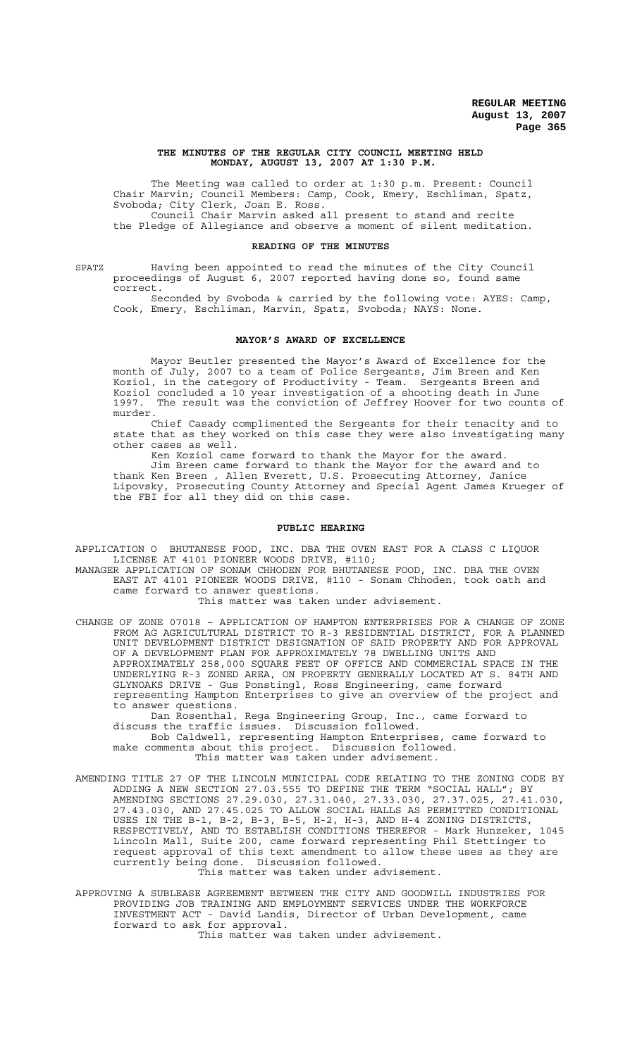#### **THE MINUTES OF THE REGULAR CITY COUNCIL MEETING HELD MONDAY, AUGUST 13, 2007 AT 1:30 P.M.**

The Meeting was called to order at 1:30 p.m. Present: Council Chair Marvin; Council Members: Camp, Cook, Emery, Eschliman, Spatz, Svoboda; City Clerk, Joan E. Ross. Council Chair Marvin asked all present to stand and recite the Pledge of Allegiance and observe a moment of silent meditation.

#### **READING OF THE MINUTES**

SPATZ Having been appointed to read the minutes of the City Council proceedings of August 6, 2007 reported having done so, found same correct.

Seconded by Svoboda & carried by the following vote: AYES: Camp, Cook, Emery, Eschliman, Marvin, Spatz, Svoboda; NAYS: None.

### **MAYOR'S AWARD OF EXCELLENCE**

Mayor Beutler presented the Mayor's Award of Excellence for the month of July, 2007 to a team of Police Sergeants, Jim Breen and Ken Koziol, in the category of Productivity - Team. Sergeants Breen and Koziol concluded a 10 year investigation of a shooting death in June 1997. The result was the conviction of Jeffrey Hoover for two counts of murder.

Chief Casady complimented the Sergeants for their tenacity and to state that as they worked on this case they were also investigating many other cases as well.

Ken Koziol came forward to thank the Mayor for the award.

Jim Breen came forward to thank the Mayor for the award and to thank Ken Breen , Allen Everett, U.S. Prosecuting Attorney, Janice Lipovsky, Prosecuting County Attorney and Special Agent James Krueger of the FBI for all they did on this case.

#### **PUBLIC HEARING**

APPLICATION O BHUTANESE FOOD, INC. DBA THE OVEN EAST FOR A CLASS C LIQUOR LICENSE AT 4101 PIONEER WOODS DRIVE, #110;

MANAGER APPLICATION OF SONAM CHHODEN FOR BHUTANESE FOOD, INC. DBA THE OVEN EAST AT 4101 PIONEER WOODS DRIVE, #110 - Sonam Chhoden, took oath and came forward to answer questions.

This matter was taken under advisement.

CHANGE OF ZONE 07018 – APPLICATION OF HAMPTON ENTERPRISES FOR A CHANGE OF ZONE FROM AG AGRICULTURAL DISTRICT TO R-3 RESIDENTIAL DISTRICT, FOR A PLANNED UNIT DEVELOPMENT DISTRICT DESIGNATION OF SAID PROPERTY AND FOR APPROVAL OF A DEVELOPMENT PLAN FOR APPROXIMATELY 78 DWELLING UNITS AND APPROXIMATELY 258,000 SQUARE FEET OF OFFICE AND COMMERCIAL SPACE IN THE UNDERLYING R-3 ZONED AREA, ON PROPERTY GENERALLY LOCATED AT S. 84TH AND GLYNOAKS DRIVE - Gus Ponstingl, Ross Engineering, came forward representing Hampton Enterprises to give an overview of the project and to answer questions.

Dan Rosenthal, Rega Engineering Group, Inc., came forward to discuss the traffic issues. Discussion followed. Bob Caldwell, representing Hampton Enterprises, came forward to make comments about this project. Discussion followed. This matter was taken under advisement.

- AMENDING TITLE 27 OF THE LINCOLN MUNICIPAL CODE RELATING TO THE ZONING CODE BY ADDING A NEW SECTION 27.03.555 TO DEFINE THE TERM "SOCIAL HALL"; BY AMENDING SECTIONS 27.29.030, 27.31.040, 27.33.030, 27.37.025, 27.41.030, 27.43.030, AND 27.45.025 TO ALLOW SOCIAL HALLS AS PERMITTED CONDITIONAL USES IN THE B-1, B-2, B-3, B-5, H-2, H-3, AND H-4 ZONING DISTRICTS, RESPECTIVELY, AND TO ESTABLISH CONDITIONS THEREFOR - Mark Hunzeker, 1045 Lincoln Mall, Suite 200, came forward representing Phil Stettinger to request approval of this text amendment to allow these uses as they are currently being done. Discussion followed. This matter was taken under advisement.
- APPROVING A SUBLEASE AGREEMENT BETWEEN THE CITY AND GOODWILL INDUSTRIES FOR PROVIDING JOB TRAINING AND EMPLOYMENT SERVICES UNDER THE WORKFORCE INVESTMENT ACT - David Landis, Director of Urban Development, came forward to ask for approval.

This matter was taken under advisement.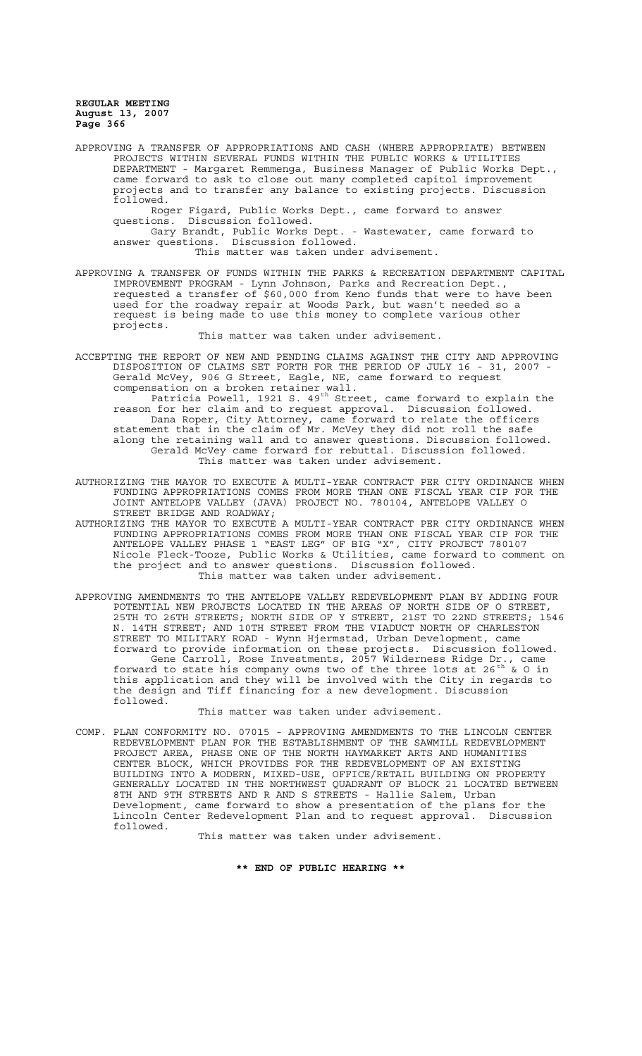APPROVING A TRANSFER OF APPROPRIATIONS AND CASH (WHERE APPROPRIATE) BETWEEN PROJECTS WITHIN SEVERAL FUNDS WITHIN THE PUBLIC WORKS & UTILITIES DEPARTMENT - Margaret Remmenga, Business Manager of Public Works Dept., came forward to ask to close out many completed capitol improvement projects and to transfer any balance to existing projects. Discussion followed. Roger Figard, Public Works Dept., came forward to answer questions. Discussion followed.

Gary Brandt, Public Works Dept. - Wastewater, came forward to answer questions. Discussion followed. This matter was taken under advisement.

APPROVING A TRANSFER OF FUNDS WITHIN THE PARKS & RECREATION DEPARTMENT CAPITAL IMPROVEMENT PROGRAM - Lynn Johnson, Parks and Recreation Dept., requested a transfer of \$60,000 from Keno funds that were to have been used for the roadway repair at Woods Park, but wasn't needed so a request is being made to use this money to complete various other projects.

This matter was taken under advisement.

ACCEPTING THE REPORT OF NEW AND PENDING CLAIMS AGAINST THE CITY AND APPROVING DISPOSITION OF CLAIMS SET FORTH FOR THE PERIOD OF JULY 16 - 31, 2007 - Gerald McVey, 906 G Street, Eagle, NE, came forward to request compensation on a broken retainer wall.

Patricia Powell, 1921 S. 49<sup>th</sup> Street, came forward to explain the reason for her claim and to request approval. Discussion followed. Dana Roper, City Attorney, came forward to relate the officers statement that in the claim of Mr. McVey they did not roll the safe along the retaining wall and to answer questions. Discussion followed. Gerald McVey came forward for rebuttal. Discussion followed. This matter was taken under advisement.

AUTHORIZING THE MAYOR TO EXECUTE A MULTI-YEAR CONTRACT PER CITY ORDINANCE WHEN FUNDING APPROPRIATIONS COMES FROM MORE THAN ONE FISCAL YEAR CIP FOR THE JOINT ANTELOPE VALLEY (JAVA) PROJECT NO. 780104, ANTELOPE VALLEY O STREET BRIDGE AND ROADWAY;

AUTHORIZING THE MAYOR TO EXECUTE A MULTI-YEAR CONTRACT PER CITY ORDINANCE WHEN FUNDING APPROPRIATIONS COMES FROM MORE THAN ONE FISCAL YEAR CIP FOR THE ANTELOPE VALLEY PHASE 1 "EAST LEG" OF BIG "X", CITY PROJECT 780107 Nicole Fleck-Tooze, Public Works & Utilities, came forward to comment on the project and to answer questions. Discussion followed. This matter was taken under advisement.

APPROVING AMENDMENTS TO THE ANTELOPE VALLEY REDEVELOPMENT PLAN BY ADDING FOUR POTENTIAL NEW PROJECTS LOCATED IN THE AREAS OF NORTH SIDE OF O STREET, 25TH TO 26TH STREETS; NORTH SIDE OF Y STREET, 21ST TO 22ND STREETS; 1546 N. 14TH STREET; AND 10TH STREET FROM THE VIADUCT NORTH OF CHARLESTON STREET TO MILITARY ROAD - Wynn Hjermstad, Urban Development, came forward to provide information on these projects. Discussion followed. Gene Carroll, Rose Investments, 2057 Wilderness Ridge Dr., came forward to state his company owns two of the three lots at 26<sup>th</sup> & O in this application and they will be involved with the City in regards to the design and Tiff financing for a new development. Discussion followed.

This matter was taken under advisement.

COMP. PLAN CONFORMITY NO. 07015 - APPROVING AMENDMENTS TO THE LINCOLN CENTER REDEVELOPMENT PLAN FOR THE ESTABLISHMENT OF THE SAWMILL REDEVELOPMENT PROJECT AREA, PHASE ONE OF THE NORTH HAYMARKET ARTS AND HUMANITIES CENTER BLOCK, WHICH PROVIDES FOR THE REDEVELOPMENT OF AN EXISTING BUILDING INTO A MODERN, MIXED-USE, OFFICE/RETAIL BUILDING ON PROPERTY GENERALLY LOCATED IN THE NORTHWEST QUADRANT OF BLOCK 21 LOCATED BETWEEN 8TH AND 9TH STREETS AND R AND S STREETS - Hallie Salem, Urban Development, came forward to show a presentation of the plans for the Lincoln Center Redevelopment Plan and to request approval. Discussion followed.

This matter was taken under advisement.

**\*\* END OF PUBLIC HEARING \*\***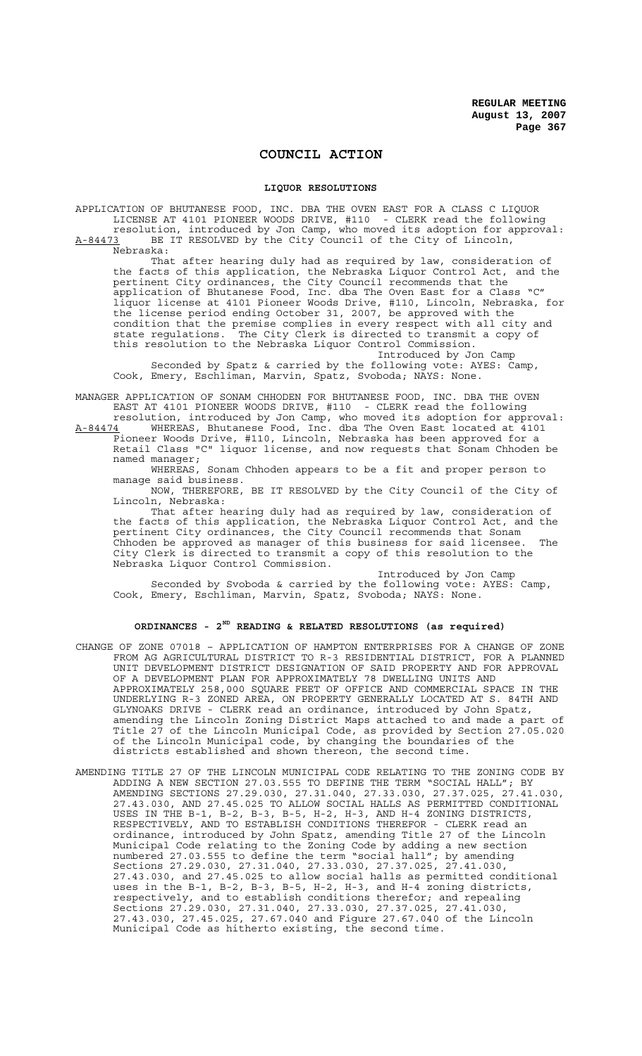# **COUNCIL ACTION**

#### **LIQUOR RESOLUTIONS**

APPLICATION OF BHUTANESE FOOD, INC. DBA THE OVEN EAST FOR A CLASS C LIQUOR LICENSE AT 4101 PIONEER WOODS DRIVE, #110 - CLERK read the following resolution, introduced by Jon Camp, who moved its adoption for approval: A-84473 BE IT RESOLVED by the City Council of the City of Lincoln, Nebraska: That after hearing duly had as required by law, consideration of the facts of this application, the Nebraska Liquor Control Act, and the pertinent City ordinances, the City Council recommends that the

application of Bhutanese Food, Inc. dba The Oven East for a Class "C" liquor license at 4101 Pioneer Woods Drive, #110, Lincoln, Nebraska, for the license period ending October 31, 2007, be approved with the condition that the premise complies in every respect with all city and<br>state requlations. The City Clerk is directed to transmit a copy of The City Clerk is directed to transmit a copy of this resolution to the Nebraska Liquor Control Commission.

Introduced by Jon Camp Seconded by Spatz & carried by the following vote: AYES: Camp, Cook, Emery, Eschliman, Marvin, Spatz, Svoboda; NAYS: None.

MANAGER APPLICATION OF SONAM CHHODEN FOR BHUTANESE FOOD, INC. DBA THE OVEN<br>EAST AT 4101 PIONEER WOODS DRIVE, #110 - CLERK read the following EAST AT 4101 PIONEER WOODS DRIVE, #110

resolution, introduced by Jon Camp, who moved its adoption for approval: A-84474 WHEREAS, Bhutanese Food, Inc. dba The Oven East located at 4101 Pioneer Woods Drive, #110, Lincoln, Nebraska has been approved for a Retail Class "C" liquor license, and now requests that Sonam Chhoden be

named manager;

WHEREAS, Sonam Chhoden appears to be a fit and proper person to manage said business.

NOW, THEREFORE, BE IT RESOLVED by the City Council of the City of Lincoln, Nebraska:

That after hearing duly had as required by law, consideration of the facts of this application, the Nebraska Liquor Control Act, and the pertinent City ordinances, the City Council recommends that Sonam Chhoden be approved as manager of this business for said licensee. The City Clerk is directed to transmit a copy of this resolution to the Nebraska Liquor Control Commission.

Introduced by Jon Camp Seconded by Svoboda & carried by the following vote: AYES: Camp, Cook, Emery, Eschliman, Marvin, Spatz, Svoboda; NAYS: None.

## **ORDINANCES - 2ND READING & RELATED RESOLUTIONS (as required)**

- CHANGE OF ZONE 07018 APPLICATION OF HAMPTON ENTERPRISES FOR A CHANGE OF ZONE FROM AG AGRICULTURAL DISTRICT TO R-3 RESIDENTIAL DISTRICT, FOR A PLANNED UNIT DEVELOPMENT DISTRICT DESIGNATION OF SAID PROPERTY AND FOR APPROVAL OF A DEVELOPMENT PLAN FOR APPROXIMATELY 78 DWELLING UNITS AND APPROXIMATELY 258,000 SQUARE FEET OF OFFICE AND COMMERCIAL SPACE IN THE UNDERLYING R-3 ZONED AREA, ON PROPERTY GENERALLY LOCATED AT S. 84TH AND GLYNOAKS DRIVE - CLERK read an ordinance, introduced by John Spatz, amending the Lincoln Zoning District Maps attached to and made a part of Title 27 of the Lincoln Municipal Code, as provided by Section 27.05.020 of the Lincoln Municipal code, by changing the boundaries of the districts established and shown thereon, the second time.
- AMENDING TITLE 27 OF THE LINCOLN MUNICIPAL CODE RELATING TO THE ZONING CODE BY ADDING A NEW SECTION 27.03.555 TO DEFINE THE TERM "SOCIAL HALL"; BY AMENDING SECTIONS 27.29.030, 27.31.040, 27.33.030, 27.37.025, 27.41.030, 27.43.030, AND 27.45.025 TO ALLOW SOCIAL HALLS AS PERMITTED CONDITIONAL USES IN THE B-1, B-2, B-3, B-5, H-2, H-3, AND H-4 ZONING DISTRICTS, RESPECTIVELY, AND TO ESTABLISH CONDITIONS THEREFOR - CLERK read an ordinance, introduced by John Spatz, amending Title 27 of the Lincoln Municipal Code relating to the Zoning Code by adding a new section numbered 27.03.555 to define the term "social hall"; by amending Sections 27.29.030, 27.31.040, 27.33.030, 27.37.025, 27.41.030, 27.43.030, and 27.45.025 to allow social halls as permitted conditional uses in the B-1, B-2, B-3, B-5, H-2, H-3, and H-4 zoning districts, respectively, and to establish conditions therefor; and repealing Sections 27.29.030, 27.31.040, 27.33.030, 27.37.025, 27.41.030, 27.43.030, 27.45.025, 27.67.040 and Figure 27.67.040 of the Lincoln Municipal Code as hitherto existing, the second time.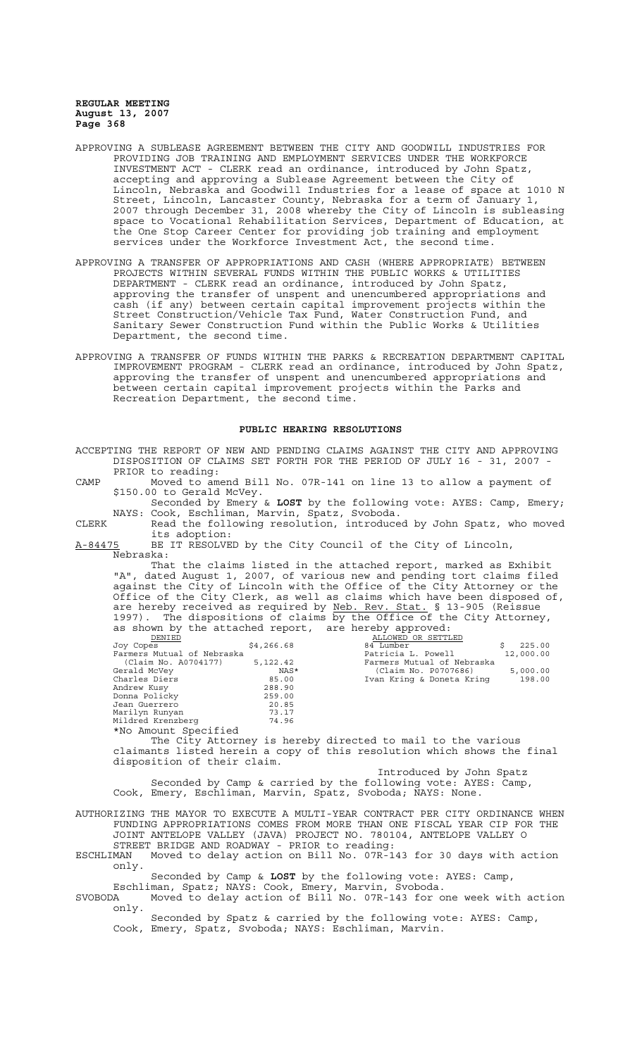- APPROVING A SUBLEASE AGREEMENT BETWEEN THE CITY AND GOODWILL INDUSTRIES FOR PROVIDING JOB TRAINING AND EMPLOYMENT SERVICES UNDER THE WORKFORCE INVESTMENT ACT - CLERK read an ordinance, introduced by John Spatz, accepting and approving a Sublease Agreement between the City of Lincoln, Nebraska and Goodwill Industries for a lease of space at 1010 N Street, Lincoln, Lancaster County, Nebraska for a term of January 1, 2007 through December 31, 2008 whereby the City of Lincoln is subleasing space to Vocational Rehabilitation Services, Department of Education, at the One Stop Career Center for providing job training and employment services under the Workforce Investment Act, the second time.
- APPROVING A TRANSFER OF APPROPRIATIONS AND CASH (WHERE APPROPRIATE) BETWEEN PROJECTS WITHIN SEVERAL FUNDS WITHIN THE PUBLIC WORKS & UTILITIES DEPARTMENT - CLERK read an ordinance, introduced by John Spatz, approving the transfer of unspent and unencumbered appropriations and cash (if any) between certain capital improvement projects within the Street Construction/Vehicle Tax Fund, Water Construction Fund, and Sanitary Sewer Construction Fund within the Public Works & Utilities Department, the second time.
- APPROVING A TRANSFER OF FUNDS WITHIN THE PARKS & RECREATION DEPARTMENT CAPITAL IMPROVEMENT PROGRAM - CLERK read an ordinance, introduced by John Spatz, approving the transfer of unspent and unencumbered appropriations and between certain capital improvement projects within the Parks and Recreation Department, the second time.

#### **PUBLIC HEARING RESOLUTIONS**

| ACCEPTING THE REPORT OF NEW AND PENDING CLAIMS AGAINST THE CITY AND APPROVING<br>DISPOSITION OF CLAIMS SET FORTH FOR THE PERIOD OF JULY 16 - 31, 2007 -<br>PRIOR to reading:                                                                                                                                                                                                                                                                                                                                                                                                                                                                                                                                                                                                                                                                                                                                                                                                                                                              |  |
|-------------------------------------------------------------------------------------------------------------------------------------------------------------------------------------------------------------------------------------------------------------------------------------------------------------------------------------------------------------------------------------------------------------------------------------------------------------------------------------------------------------------------------------------------------------------------------------------------------------------------------------------------------------------------------------------------------------------------------------------------------------------------------------------------------------------------------------------------------------------------------------------------------------------------------------------------------------------------------------------------------------------------------------------|--|
| Moved to amend Bill No. 07R-141 on line 13 to allow a payment of<br>CAMP<br>\$150.00 to Gerald McVey.                                                                                                                                                                                                                                                                                                                                                                                                                                                                                                                                                                                                                                                                                                                                                                                                                                                                                                                                     |  |
| Seconded by Emery & LOST by the following vote: AYES: Camp, Emery;<br>NAYS: Cook, Eschliman, Marvin, Spatz, Svoboda.<br>Read the following resolution, introduced by John Spatz, who moved<br>CLERK<br>its adoption:                                                                                                                                                                                                                                                                                                                                                                                                                                                                                                                                                                                                                                                                                                                                                                                                                      |  |
| BE IT RESOLVED by the City Council of the City of Lincoln,<br>A-84475                                                                                                                                                                                                                                                                                                                                                                                                                                                                                                                                                                                                                                                                                                                                                                                                                                                                                                                                                                     |  |
| Nebraska:                                                                                                                                                                                                                                                                                                                                                                                                                                                                                                                                                                                                                                                                                                                                                                                                                                                                                                                                                                                                                                 |  |
| That the claims listed in the attached report, marked as Exhibit<br>"A", dated August 1, 2007, of various new and pending tort claims filed<br>against the City of Lincoln with the Office of the City Attorney or the<br>Office of the City Clerk, as well as claims which have been disposed of,<br>are hereby received as required by Neb. Rev. Stat. § 13-905 (Reissue<br>1997). The dispositions of claims by the Office of the City Attorney,<br>as shown by the attached report, are hereby approved:<br>ALLOWED OR SETTLED<br>DENIED<br>\$4,266.68<br>Joy Copes<br>84 Lumber<br>\$<br>225.00<br>Farmers Mutual of Nebraska<br>9 125.00 5,122.42 5,122.42<br>12,000.00 7 12,000.00 7 12,000.00 7 12,000.00 12,000.00 12,000.00 12,000.00 12,000.00 12,000.00 12,000.00 12,000.00 12,000.00 12,000.00 12,000.00 12,000.00 12,000.00 12,000.00 12,000.00 12,000.0<br>Gerald McVey<br>Charles Diers<br>Andrew Kusy<br>Donna Policky<br>Jean Guerrero<br>73.17<br>Marilyn Runyan<br>Mildred Krenzberg<br>74.96<br>*No Amount Specified |  |
| The City Attorney is hereby directed to mail to the various<br>claimants listed herein a copy of this resolution which shows the final<br>disposition of their claim.                                                                                                                                                                                                                                                                                                                                                                                                                                                                                                                                                                                                                                                                                                                                                                                                                                                                     |  |
| Introduced by John Spatz                                                                                                                                                                                                                                                                                                                                                                                                                                                                                                                                                                                                                                                                                                                                                                                                                                                                                                                                                                                                                  |  |
| Seconded by Camp & carried by the following vote: AYES: Camp,<br>Cook, Emery, Eschliman, Marvin, Spatz, Svoboda; NAYS: None.                                                                                                                                                                                                                                                                                                                                                                                                                                                                                                                                                                                                                                                                                                                                                                                                                                                                                                              |  |
| AUTHORIZING THE MAYOR TO EXECUTE A MULTI-YEAR CONTRACT PER CITY ORDINANCE WHEN<br>FUNDING APPROPRIATIONS COMES FROM MORE THAN ONE FISCAL YEAR CIP FOR THE<br>JOINT ANTELOPE VALLEY (JAVA) PROJECT NO. 780104, ANTELOPE VALLEY O<br>STREET BRIDGE AND ROADWAY - PRIOR to reading:                                                                                                                                                                                                                                                                                                                                                                                                                                                                                                                                                                                                                                                                                                                                                          |  |
| Moved to delay action on Bill No. 07R-143 for 30 days with action<br>ESCHLIMAN<br>only.                                                                                                                                                                                                                                                                                                                                                                                                                                                                                                                                                                                                                                                                                                                                                                                                                                                                                                                                                   |  |
| Seconded by Camp & LOST by the following vote: AYES: Camp,<br>Eschliman, Spatz; NAYS: Cook, Emery, Marvin, Svoboda.<br>Moved to delay action of Bill No. 07R-143 for one week with action<br>SVOBODA<br>only.                                                                                                                                                                                                                                                                                                                                                                                                                                                                                                                                                                                                                                                                                                                                                                                                                             |  |
| Seconded by Spatz & carried by the following vote: AYES: Camp,<br>Cook, Emery, Spatz, Svoboda; NAYS: Eschliman, Marvin.                                                                                                                                                                                                                                                                                                                                                                                                                                                                                                                                                                                                                                                                                                                                                                                                                                                                                                                   |  |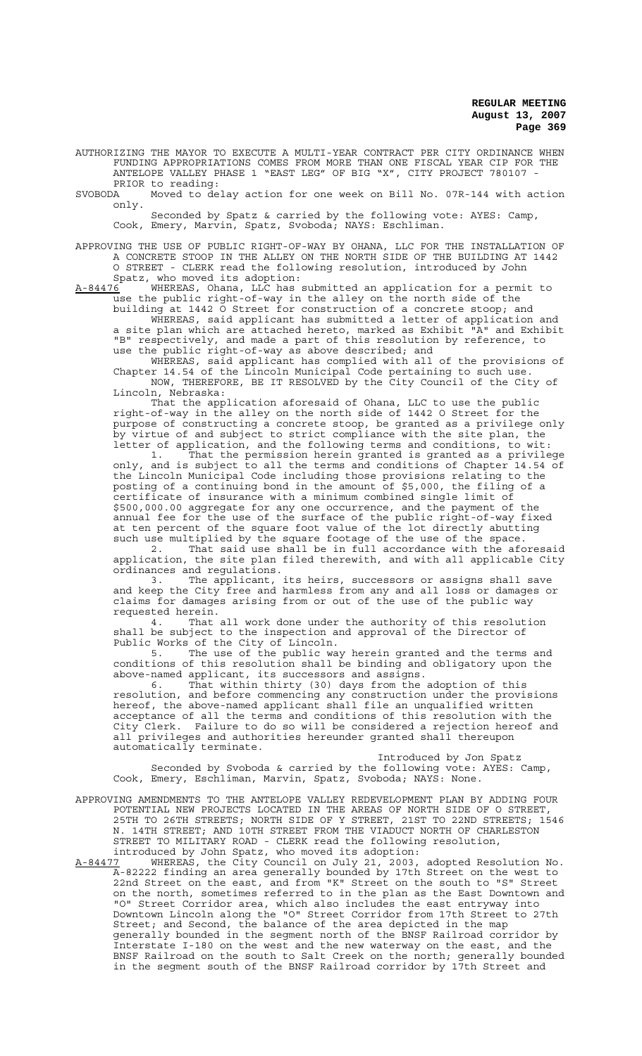AUTHORIZING THE MAYOR TO EXECUTE A MULTI-YEAR CONTRACT PER CITY ORDINANCE WHEN FUNDING APPROPRIATIONS COMES FROM MORE THAN ONE FISCAL YEAR CIP FOR THE ANTELOPE VALLEY PHASE 1 "EAST LEG" OF BIG "X", CITY PROJECT 780107 -

PRIOR to reading: SVOBODA Moved to delay action for one week on Bill No. 07R-144 with action only.

Seconded by Spatz & carried by the following vote: AYES: Camp, Cook, Emery, Marvin, Spatz, Svoboda; NAYS: Eschliman.

APPROVING THE USE OF PUBLIC RIGHT-OF-WAY BY OHANA, LLC FOR THE INSTALLATION OF A CONCRETE STOOP IN THE ALLEY ON THE NORTH SIDE OF THE BUILDING AT 1442 O STREET - CLERK read the following resolution, introduced by John Spatz, who moved its adoption:<br>A-84476 WHEREAS, Ohana, LLC has

A-84476 WHEREAS, Ohana, LLC has submitted an application for a permit to use the public right-of-way in the alley on the north side of the building at 1442 O Street for construction of a concrete stoop; and

WHEREAS, said applicant has submitted a letter of application and a site plan which are attached hereto, marked as Exhibit "A" and Exhibit "B" respectively, and made a part of this resolution by reference, to use the public right-of-way as above described; and

WHEREAS, said applicant has complied with all of the provisions of Chapter 14.54 of the Lincoln Municipal Code pertaining to such use. NOW, THEREFORE, BE IT RESOLVED by the City Council of the City of Lincoln, Nebraska:

That the application aforesaid of Ohana, LLC to use the public right-of-way in the alley on the north side of 1442 O Street for the purpose of constructing a concrete stoop, be granted as a privilege only by virtue of and subject to strict compliance with the site plan, the letter of application, and the following terms and conditions, to wit:

1. That the permission herein granted is granted as a privilege only, and is subject to all the terms and conditions of Chapter 14.54 of the Lincoln Municipal Code including those provisions relating to the posting of a continuing bond in the amount of \$5,000, the filing of a certificate of insurance with a minimum combined single limit of \$500,000.00 aggregate for any one occurrence, and the payment of the annual fee for the use of the surface of the public right-of-way fixed at ten percent of the square foot value of the lot directly abutting such use multiplied by the square footage of the use of the space.

2. That said use shall be in full accordance with the aforesaid application, the site plan filed therewith, and with all applicable City ordinances and regulations.

3. The applicant, its heirs, successors or assigns shall save and keep the City free and harmless from any and all loss or damages or claims for damages arising from or out of the use of the public way requested herein.

4. That all work done under the authority of this resolution shall be subject to the inspection and approval of the Director of Public Works of the City of Lincoln.

5. The use of the public way herein granted and the terms and conditions of this resolution shall be binding and obligatory upon the above-named applicant, its successors and assigns.

6. That within thirty (30) days from the adoption of this resolution, and before commencing any construction under the provisions hereof, the above-named applicant shall file an unqualified written acceptance of all the terms and conditions of this resolution with the City Clerk. Failure to do so will be considered a rejection hereof and all privileges and authorities hereunder granted shall thereupon automatically terminate.

Introduced by Jon Spatz Seconded by Svoboda & carried by the following vote: AYES: Camp, Cook, Emery, Eschliman, Marvin, Spatz, Svoboda; NAYS: None.

- APPROVING AMENDMENTS TO THE ANTELOPE VALLEY REDEVELOPMENT PLAN BY ADDING FOUR POTENTIAL NEW PROJECTS LOCATED IN THE AREAS OF NORTH SIDE OF O STREET, 25TH TO 26TH STREETS; NORTH SIDE OF Y STREET, 21ST TO 22ND STREETS; 1546 N. 14TH STREET; AND 10TH STREET FROM THE VIADUCT NORTH OF CHARLESTON STREET TO MILITARY ROAD - CLERK read the following resolution, introduced by John Spatz, who moved its adoption:
- A-84477 WHEREAS, the City Council on July 21, 2003, adopted Resolution No. A-82222 finding an area generally bounded by 17th Street on the west to 22nd Street on the east, and from "K" Street on the south to "S" Street on the north, sometimes referred to in the plan as the East Downtown and "O" Street Corridor area, which also includes the east entryway into Downtown Lincoln along the "O" Street Corridor from 17th Street to 27th Street; and Second, the balance of the area depicted in the map generally bounded in the segment north of the BNSF Railroad corridor by Interstate I-180 on the west and the new waterway on the east, and the BNSF Railroad on the south to Salt Creek on the north; generally bounded in the segment south of the BNSF Railroad corridor by 17th Street and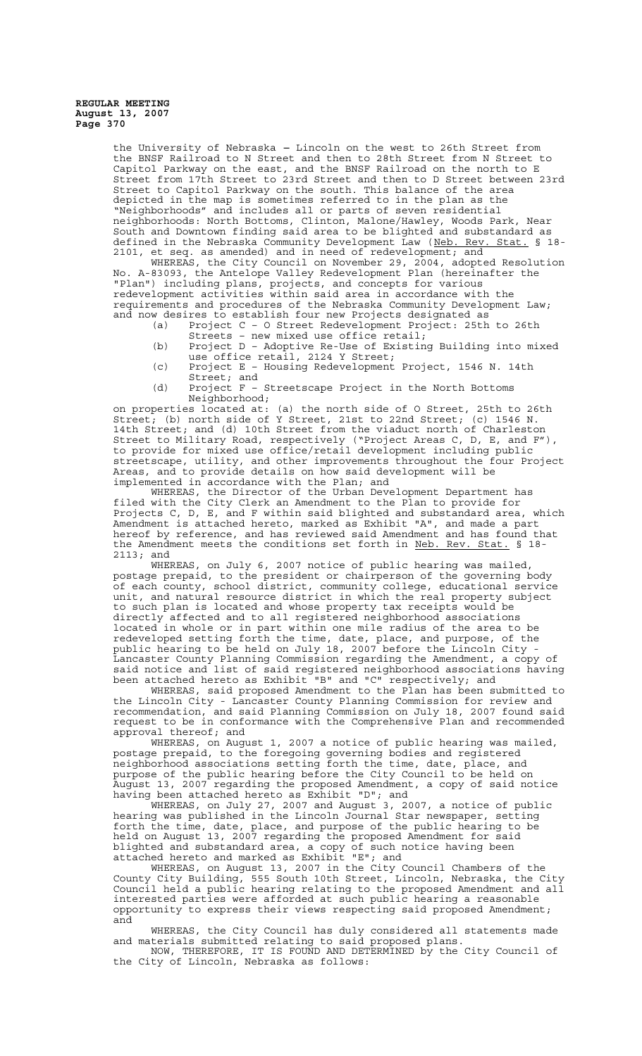> the University of Nebraska - Lincoln on the west to 26th Street from the BNSF Railroad to N Street and then to 28th Street from N Street to Capitol Parkway on the east, and the BNSF Railroad on the north to E Street from 17th Street to 23rd Street and then to D Street between 23rd Street to Capitol Parkway on the south. This balance of the area depicted in the map is sometimes referred to in the plan as the "Neighborhoods" and includes all or parts of seven residential neighborhoods: North Bottoms, Clinton, Malone/Hawley, Woods Park, Near South and Downtown finding said area to be blighted and substandard as defined in the Nebraska Community Development Law (Neb. Rev. Stat. § 18-2101, et seq. as amended) and in need of redevelopment; and

> WHEREAS, the City Council on November 29, 2004, adopted Resolution No. A-83093, the Antelope Valley Redevelopment Plan (hereinafter the "Plan") including plans, projects, and concepts for various redevelopment activities within said area in accordance with the requirements and procedures of the Nebraska Community Development Law; and now desires to establish four new Projects designated as

- (a) Project C O Street Redevelopment Project: 25th to 26th Streets – new mixed use office retail;
- (b) Project D Adoptive Re-Use of Existing Building into mixed use office retail, 2124 Y Street;
- (c) Project E Housing Redevelopment Project, 1546 N. 14th Street; and
- (d) Project F Streetscape Project in the North Bottoms Neighborhood;

on properties located at: (a) the north side of O Street, 25th to 26th Street; (b) north side of Y Street, 21st to 22nd Street; (c) 1546 N. 14th Street; and (d) 10th Street from the viaduct north of Charleston Street to Military Road, respectively ("Project Areas C, D, E, and F"), to provide for mixed use office/retail development including public streetscape, utility, and other improvements throughout the four Project Areas, and to provide details on how said development will be implemented in accordance with the Plan; and

WHEREAS, the Director of the Urban Development Department has filed with the City Clerk an Amendment to the Plan to provide for Projects C, D, E, and F within said blighted and substandard area, which Amendment is attached hereto, marked as Exhibit "A", and made a part hereof by reference, and has reviewed said Amendment and has found that the Amendment meets the conditions set forth in Neb. Rev. Stat. § 18-

2113; and<br>WHEREAS, on July 6, 2007 notice of public hearing was mailed, postage prepaid, to the president or chairperson of the governing body of each county, school district, community college, educational service unit, and natural resource district in which the real property subject to such plan is located and whose property tax receipts would be directly affected and to all registered neighborhood associations located in whole or in part within one mile radius of the area to be redeveloped setting forth the time, date, place, and purpose, of the public hearing to be held on July 18, 2007 before the Lincoln City - Lancaster County Planning Commission regarding the Amendment, a copy of said notice and list of said registered neighborhood associations having been attached hereto as Exhibit "B" and "C" respectively; and

WHEREAS, said proposed Amendment to the Plan has been submitted to the Lincoln City - Lancaster County Planning Commission for review and recommendation, and said Planning Commission on July 18, 2007 found said request to be in conformance with the Comprehensive Plan and recommended approval thereof; and

WHEREAS, on August 1, 2007 a notice of public hearing was mailed, postage prepaid, to the foregoing governing bodies and registered neighborhood associations setting forth the time, date, place, and purpose of the public hearing before the City Council to be held on August 13, 2007 regarding the proposed Amendment, a copy of said notice having been attached hereto as Exhibit "D"; and

WHEREAS, on July 27, 2007 and August 3, 2007, a notice of public hearing was published in the Lincoln Journal Star newspaper, setting forth the time, date, place, and purpose of the public hearing to be held on August 13, 2007 regarding the proposed Amendment for said blighted and substandard area, a copy of such notice having been attached hereto and marked as Exhibit "E"; and

WHEREAS, on August 13, 2007 in the City Council Chambers of the County City Building, 555 South 10th Street, Lincoln, Nebraska, the City Council held a public hearing relating to the proposed Amendment and all interested parties were afforded at such public hearing a reasonable opportunity to express their views respecting said proposed Amendment; and

WHEREAS, the City Council has duly considered all statements made and materials submitted relating to said proposed plans. NOW, THEREFORE, IT IS FOUND AND DETERMINED by the City Council of the City of Lincoln, Nebraska as follows: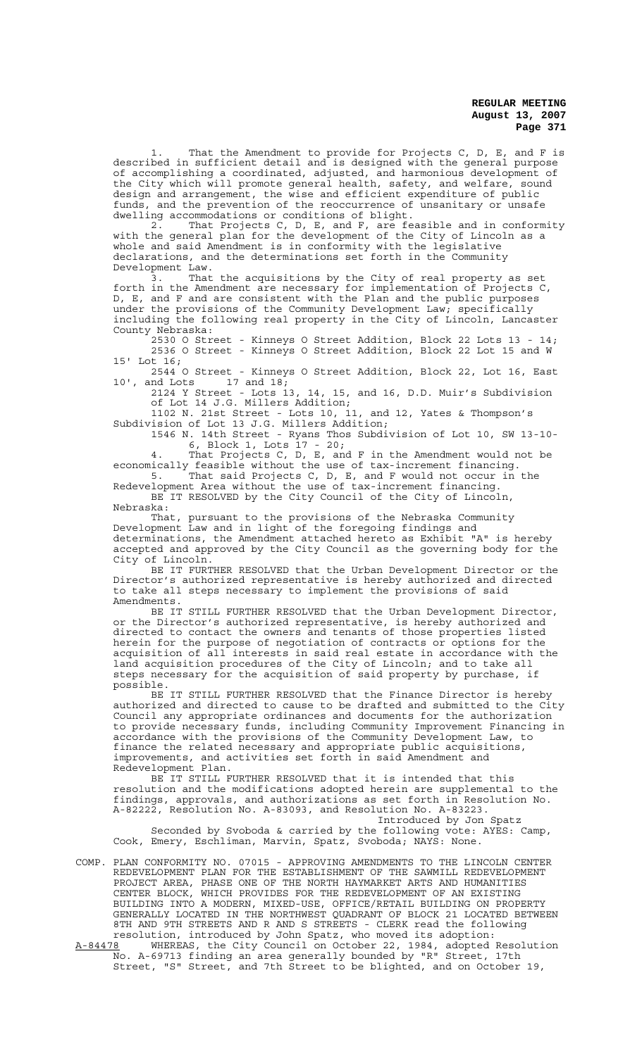1. That the Amendment to provide for Projects C, D, E, and F is described in sufficient detail and is designed with the general purpose of accomplishing a coordinated, adjusted, and harmonious development of the City which will promote general health, safety, and welfare, sound design and arrangement, the wise and efficient expenditure of public funds, and the prevention of the reoccurrence of unsanitary or unsafe dwelling accommodations or conditions of blight.

2. That Projects C, D, E, and F, are feasible and in conformity with the general plan for the development of the City of Lincoln as a whole and said Amendment is in conformity with the legislative declarations, and the determinations set forth in the Community Development Law.

3. That the acquisitions by the City of real property as set forth in the Amendment are necessary for implementation of Projects C, D, E, and F and are consistent with the Plan and the public purposes under the provisions of the Community Development Law; specifically including the following real property in the City of Lincoln, Lancaster County Nebraska:

2530 O Street - Kinneys O Street Addition, Block 22 Lots 13 - 14; 2536 O Street - Kinneys O Street Addition, Block 22 Lot 15 and W 15' Lot 16;

2544 O Street - Kinneys O Street Addition, Block 22, Lot 16, East 10', and Lots 17 and 18;

2124 Y Street - Lots 13, 14, 15, and 16, D.D. Muir's Subdivision of Lot 14 J.G. Millers Addition;

1102 N. 21st Street - Lots 10, 11, and 12, Yates & Thompson's Subdivision of Lot 13 J.G. Millers Addition;

1546 N. 14th Street - Ryans Thos Subdivision of Lot 10, SW 13-10- 6, Block 1, Lots 17 - 20;

4. That Projects C, D, E, and F in the Amendment would not be economically feasible without the use of tax-increment financing. 5. That said Projects C, D, E, and F would not occur in the

Redevelopment Area without the use of tax-increment financing. BE IT RESOLVED by the City Council of the City of Lincoln, Nebraska:

That, pursuant to the provisions of the Nebraska Community Development Law and in light of the foregoing findings and determinations, the Amendment attached hereto as Exhibit "A" is hereby accepted and approved by the City Council as the governing body for the City of Lincoln.

BE IT FURTHER RESOLVED that the Urban Development Director or the Director's authorized representative is hereby authorized and directed to take all steps necessary to implement the provisions of said Amendments.

BE IT STILL FURTHER RESOLVED that the Urban Development Director, or the Director's authorized representative, is hereby authorized and directed to contact the owners and tenants of those properties listed herein for the purpose of negotiation of contracts or options for the acquisition of all interests in said real estate in accordance with the land acquisition procedures of the City of Lincoln; and to take all steps necessary for the acquisition of said property by purchase, if possible.

BE IT STILL FURTHER RESOLVED that the Finance Director is hereby authorized and directed to cause to be drafted and submitted to the City Council any appropriate ordinances and documents for the authorization to provide necessary funds, including Community Improvement Financing in accordance with the provisions of the Community Development Law, to finance the related necessary and appropriate public acquisitions, improvements, and activities set forth in said Amendment and Redevelopment Plan.

BE IT STILL FURTHER RESOLVED that it is intended that this resolution and the modifications adopted herein are supplemental to the findings, approvals, and authorizations as set forth in Resolution No. A-82222, Resolution No. A-83093, and Resolution No. A-83223. Introduced by Jon Spatz

Seconded by Svoboda & carried by the following vote: AYES: Camp, Cook, Emery, Eschliman, Marvin, Spatz, Svoboda; NAYS: None.

COMP. PLAN CONFORMITY NO. 07015 - APPROVING AMENDMENTS TO THE LINCOLN CENTER REDEVELOPMENT PLAN FOR THE ESTABLISHMENT OF THE SAWMILL REDEVELOPMENT PROJECT AREA, PHASE ONE OF THE NORTH HAYMARKET ARTS AND HUMANITIES CENTER BLOCK, WHICH PROVIDES FOR THE REDEVELOPMENT OF AN EXISTING BUILDING INTO A MODERN, MIXED-USE, OFFICE/RETAIL BUILDING ON PROPERTY GENERALLY LOCATED IN THE NORTHWEST QUADRANT OF BLOCK 21 LOCATED BETWEEN 8TH AND 9TH STREETS AND R AND S STREETS - CLERK read the following resolution, introduced by John Spatz, who moved its adoption: A-84478 WHEREAS, the City Council on October 22, 1984, adopted Resolution

No. A-69713 finding an area generally bounded by "R" Street, 17th Street, "S" Street, and 7th Street to be blighted, and on October 19,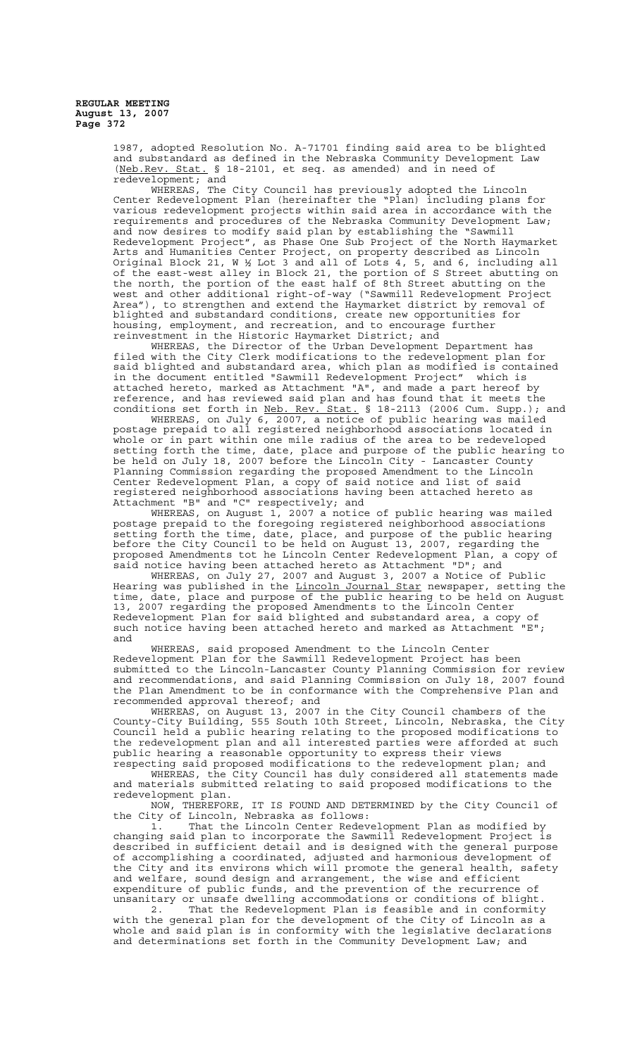> 1987, adopted Resolution No. A-71701 finding said area to be blighted and substandard as defined in the Nebraska Community Development Law (Neb.Rev. Stat. § 18-2101, et seq. as amended) and in need of redevelopment; and

WHEREAS, The City Council has previously adopted the Lincoln Center Redevelopment Plan (hereinafter the "Plan) including plans for various redevelopment projects within said area in accordance with the requirements and procedures of the Nebraska Community Development Law; and now desires to modify said plan by establishing the "Sawmill Redevelopment Project", as Phase One Sub Project of the North Haymarket Arts and Humanities Center Project, on property described as Lincoln Original Block 21, W ½ Lot 3 and all of Lots 4, 5, and 6, including all of the east-west alley in Block 21, the portion of S Street abutting on the north, the portion of the east half of 8th Street abutting on the west and other additional right-of-way ("Sawmill Redevelopment Project Area"), to strengthen and extend the Haymarket district by removal of blighted and substandard conditions, create new opportunities for housing, employment, and recreation, and to encourage further reinvestment in the Historic Haymarket District; and

WHEREAS, the Director of the Urban Development Department has filed with the City Clerk modifications to the redevelopment plan for said blighted and substandard area, which plan as modified is contained in the document entitled "Sawmill Redevelopment Project" which is attached hereto, marked as Attachment "A", and made a part hereof by reference, and has reviewed said plan and has found that it meets the conditions set forth in Neb. Rev. Stat. § 18-2113 (2006 Cum. Supp.); and

WHEREAS, on July 6, 2007, a notice of public hearing was mailed postage prepaid to all registered neighborhood associations located in whole or in part within one mile radius of the area to be redeveloped setting forth the time, date, place and purpose of the public hearing to be held on July 18, 2007 before the Lincoln City - Lancaster County Planning Commission regarding the proposed Amendment to the Lincoln Center Redevelopment Plan, a copy of said notice and list of said registered neighborhood associations having been attached hereto as Attachment "B" and "C" respectively; and

WHEREAS, on August 1, 2007 a notice of public hearing was mailed postage prepaid to the foregoing registered neighborhood associations setting forth the time, date, place, and purpose of the public hearing before the City Council to be held on August 13, 2007, regarding the proposed Amendments tot he Lincoln Center Redevelopment Plan, a copy of said notice having been attached hereto as Attachment "D"; and

WHEREAS, on July 27, 2007 and August 3, 2007 a Notice of Public Hearing was published in the <u>Lincoln Journal Star</u> newspaper, setting the time, date, place and purpose of the public hearing to be held on August 13, 2007 regarding the proposed Amendments to the Lincoln Center Redevelopment Plan for said blighted and substandard area, a copy of such notice having been attached hereto and marked as Attachment "E"; and

WHEREAS, said proposed Amendment to the Lincoln Center Redevelopment Plan for the Sawmill Redevelopment Project has been submitted to the Lincoln-Lancaster County Planning Commission for review and recommendations, and said Planning Commission on July 18, 2007 found the Plan Amendment to be in conformance with the Comprehensive Plan and recommended approval thereof; and

WHEREAS, on August 13, 2007 in the City Council chambers of the County-City Building, 555 South 10th Street, Lincoln, Nebraska, the City Council held a public hearing relating to the proposed modifications to the redevelopment plan and all interested parties were afforded at such public hearing a reasonable opportunity to express their views

respecting said proposed modifications to the redevelopment plan; and WHEREAS, the City Council has duly considered all statements made and materials submitted relating to said proposed modifications to the redevelopment plan.

NOW, THEREFORE, IT IS FOUND AND DETERMINED by the City Council of the City of Lincoln, Nebraska as follows:

1. That the Lincoln Center Redevelopment Plan as modified by changing said plan to incorporate the Sawmill Redevelopment Project is described in sufficient detail and is designed with the general purpose of accomplishing a coordinated, adjusted and harmonious development of the City and its environs which will promote the general health, safety and welfare, sound design and arrangement, the wise and efficient expenditure of public funds, and the prevention of the recurrence of unsanitary or unsafe dwelling accommodations or conditions of blight.

2. That the Redevelopment Plan is feasible and in conformity with the general plan for the development of the City of Lincoln as a whole and said plan is in conformity with the legislative declarations and determinations set forth in the Community Development Law; and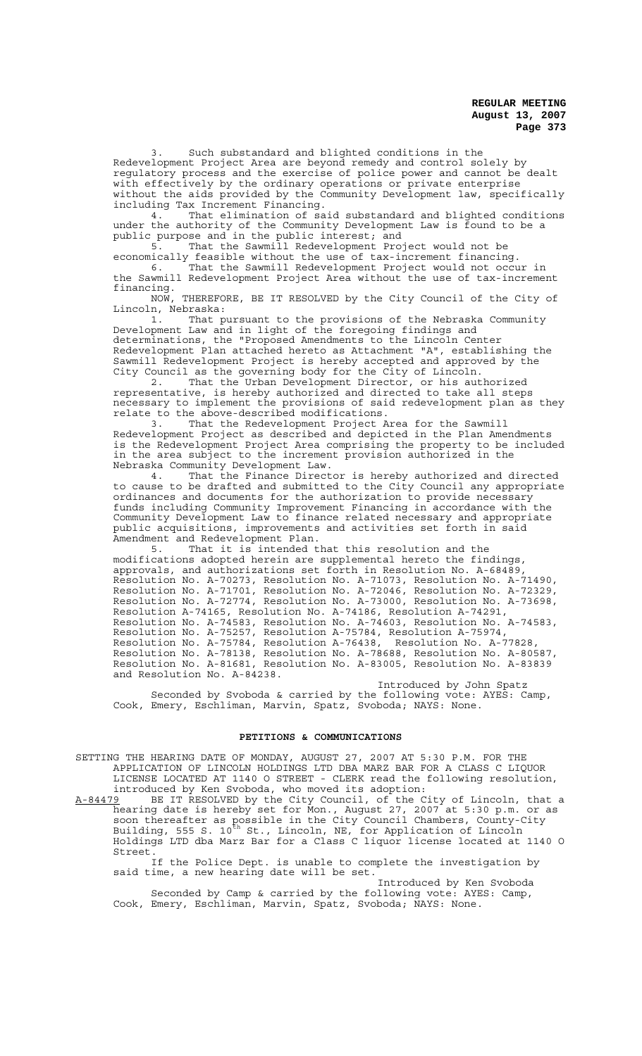3. Such substandard and blighted conditions in the Redevelopment Project Area are beyond remedy and control solely by regulatory process and the exercise of police power and cannot be dealt with effectively by the ordinary operations or private enterprise without the aids provided by the Community Development law, specifically including Tax Increment Financing.<br>4. That elimination of sa

That elimination of said substandard and blighted conditions under the authority of the Community Development Law is found to be a public purpose and in the public interest; and<br>5. That the Sawmill Redevelopment Pro-

That the Sawmill Redevelopment Project would not be economically feasible without the use of tax-increment financing.

6. That the Sawmill Redevelopment Project would not occur in the Sawmill Redevelopment Project Area without the use of tax-increment financing.

NOW, THEREFORE, BE IT RESOLVED by the City Council of the City of

Lincoln, Nebraska:<br>1. That p That pursuant to the provisions of the Nebraska Community Development Law and in light of the foregoing findings and determinations, the "Proposed Amendments to the Lincoln Center Redevelopment Plan attached hereto as Attachment "A", establishing the Sawmill Redevelopment Project is hereby accepted and approved by the City Council as the governing body for the City of Lincoln.

2. That the Urban Development Director, or his authorized representative, is hereby authorized and directed to take all steps necessary to implement the provisions of said redevelopment plan as they relate to the above-described modifications.

3. That the Redevelopment Project Area for the Sawmill Redevelopment Project as described and depicted in the Plan Amendments is the Redevelopment Project Area comprising the property to be included in the area subject to the increment provision authorized in the Nebraska Community Development Law.

4. That the Finance Director is hereby authorized and directed to cause to be drafted and submitted to the City Council any appropriate ordinances and documents for the authorization to provide necessary funds including Community Improvement Financing in accordance with the Community Development Law to finance related necessary and appropriate public acquisitions, improvements and activities set forth in said Amendment and Redevelopment Plan.<br>5. That it is intended t

That it is intended that this resolution and the modifications adopted herein are supplemental hereto the findings, approvals, and authorizations set forth in Resolution No. A-68489, Resolution No. A-70273, Resolution No. A-71073, Resolution No. A-71490, Resolution No. A-71701, Resolution No. A-72046, Resolution No. A-72329, Resolution No. A-72774, Resolution No. A-73000, Resolution No. A-73698, Resolution A-74165, Resolution No. A-74186, Resolution A-74291, Resolution No. A-74583, Resolution No. A-74603, Resolution No. A-74583, Resolution No. A-75257, Resolution A-75784, Resolution A-75974, Resolution No. A-75784, Resolution A-76438, Resolution No. A-77828, Resolution No. A-78138, Resolution No. A-78688, Resolution No. A-80587, Resolution No. A-81681, Resolution No. A-83005, Resolution No. A-83839 and Resolution No. A-84238.

Introduced by John Spatz Seconded by Svoboda & carried by the following vote: AYES: Camp, Cook, Emery, Eschliman, Marvin, Spatz, Svoboda; NAYS: None.

#### **PETITIONS & COMMUNICATIONS**

SETTING THE HEARING DATE OF MONDAY, AUGUST 27, 2007 AT 5:30 P.M. FOR THE APPLICATION OF LINCOLN HOLDINGS LTD DBA MARZ BAR FOR A CLASS C LIQUOR LICENSE LOCATED AT 1140 O STREET - CLERK read the following resolution, introduced by Ken Svoboda, who moved its adoption:

A-84479 BE IT RESOLVED by the City Council, of the City of Lincoln, that a hearing date is hereby set for Mon., August 27, 2007 at 5:30 p.m. or as soon thereafter as possible in the City Council Chambers, County-City Building, 555 S. 10<sup>th</sup> St., Lincoln, NE, for Application of Lincoln Holdings LTD dba Marz Bar for a Class C liquor license located at 1140 O Street.

If the Police Dept. is unable to complete the investigation by said time, a new hearing date will be set.

Introduced by Ken Svoboda Seconded by Camp & carried by the following vote: AYES: Camp, Cook, Emery, Eschliman, Marvin, Spatz, Svoboda; NAYS: None.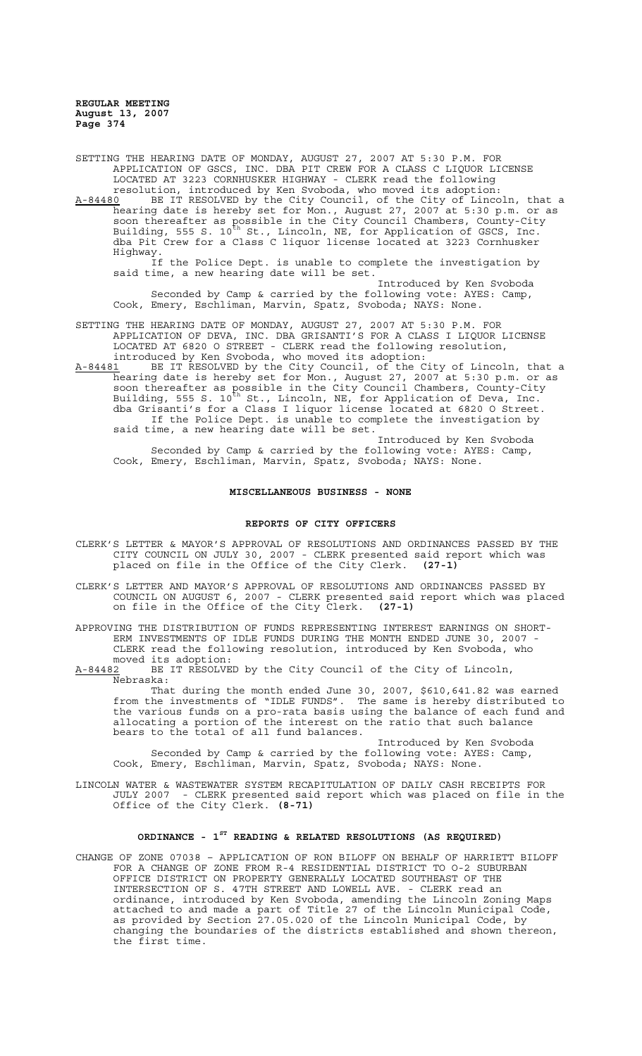SETTING THE HEARING DATE OF MONDAY, AUGUST 27, 2007 AT 5:30 P.M. FOR APPLICATION OF GSCS, INC. DBA PIT CREW FOR A CLASS C LIQUOR LICENSE LOCATED AT 3223 CORNHUSKER HIGHWAY - CLERK read the following resolution, introduced by Ken Svoboda, who moved its adoption:

A-84480 BE IT RESOLVED by the City Council, of the City of Lincoln, that a hearing date is hereby set for Mon., August 27, 2007 at 5:30 p.m. or as soon thereafter as possible in the City Council Chambers, County-City Building, 555 S. 10<sup>th</sup> St., Lincoln, NE, for Application of GSCS, Inc. dba Pit Crew for a Class C liquor license located at 3223 Cornhusker Highway.

If the Police Dept. is unable to complete the investigation by said time, a new hearing date will be set.

Introduced by Ken Svoboda Seconded by Camp & carried by the following vote: AYES: Camp, Cook, Emery, Eschliman, Marvin, Spatz, Svoboda; NAYS: None.

SETTING THE HEARING DATE OF MONDAY, AUGUST 27, 2007 AT 5:30 P.M. FOR APPLICATION OF DEVA, INC. DBA GRISANTI'S FOR A CLASS I LIQUOR LICENSE LOCATED AT 6820 O STREET - CLERK read the following resolution, introduced by Ken Svoboda, who moved its adoption:

A-84481 BE IT RESOLVED by the City Council, of the City of Lincoln, that a hearing date is hereby set for Mon., August 27, 2007 at 5:30 p.m. or as soon thereafter as possible in the City Council Chambers, County-City Building, 555 S. 10<sup>th</sup> St., Lincoln, NE, for Application of Deva, Inc. dba Grisanti's for a Class I liquor license located at 6820 O Street. If the Police Dept. is unable to complete the investigation by said time, a new hearing date will be set.

Introduced by Ken Svoboda Seconded by Camp & carried by the following vote: AYES: Camp, Cook, Emery, Eschliman, Marvin, Spatz, Svoboda; NAYS: None.

#### **MISCELLANEOUS BUSINESS - NONE**

#### **REPORTS OF CITY OFFICERS**

- CLERK'S LETTER & MAYOR'S APPROVAL OF RESOLUTIONS AND ORDINANCES PASSED BY THE CITY COUNCIL ON JULY 30, 2007 - CLERK presented said report which was placed on file in the Office of the City Clerk. **(27-1)**
- CLERK'S LETTER AND MAYOR'S APPROVAL OF RESOLUTIONS AND ORDINANCES PASSED BY COUNCIL ON AUGUST 6, 2007 - CLERK presented said report which was placed on file in the Office of the City Clerk. **(27-1)**

APPROVING THE DISTRIBUTION OF FUNDS REPRESENTING INTEREST EARNINGS ON SHORT-ERM INVESTMENTS OF IDLE FUNDS DURING THE MONTH ENDED JUNE 30, 2007 - CLERK read the following resolution, introduced by Ken Svoboda, who moved its adoption:

A-84482 BE IT RESOLVED by the City Council of the City of Lincoln, Nebraska:

That during the month ended June 30, 2007, \$610,641.82 was earned from the investments of "IDLE FUNDS". The same is hereby distributed to the various funds on a pro-rata basis using the balance of each fund and allocating a portion of the interest on the ratio that such balance bears to the total of all fund balances.

Introduced by Ken Svoboda Seconded by Camp & carried by the following vote: AYES: Camp, Cook, Emery, Eschliman, Marvin, Spatz, Svoboda; NAYS: None.

LINCOLN WATER & WASTEWATER SYSTEM RECAPITULATION OF DAILY CASH RECEIPTS FOR JULY 2007 - CLERK presented said report which was placed on file in the Office of the City Clerk. **(8-71)**

# **ORDINANCE - 1ST READING & RELATED RESOLUTIONS (AS REQUIRED)**

CHANGE OF ZONE 07038 – APPLICATION OF RON BILOFF ON BEHALF OF HARRIETT BILOFF FOR A CHANGE OF ZONE FROM R-4 RESIDENTIAL DISTRICT TO O-2 SUBURBAN OFFICE DISTRICT ON PROPERTY GENERALLY LOCATED SOUTHEAST OF THE INTERSECTION OF S. 47TH STREET AND LOWELL AVE. - CLERK read an ordinance, introduced by Ken Svoboda, amending the Lincoln Zoning Maps attached to and made a part of Title 27 of the Lincoln Municipal Code, as provided by Section 27.05.020 of the Lincoln Municipal Code, by changing the boundaries of the districts established and shown thereon, the first time.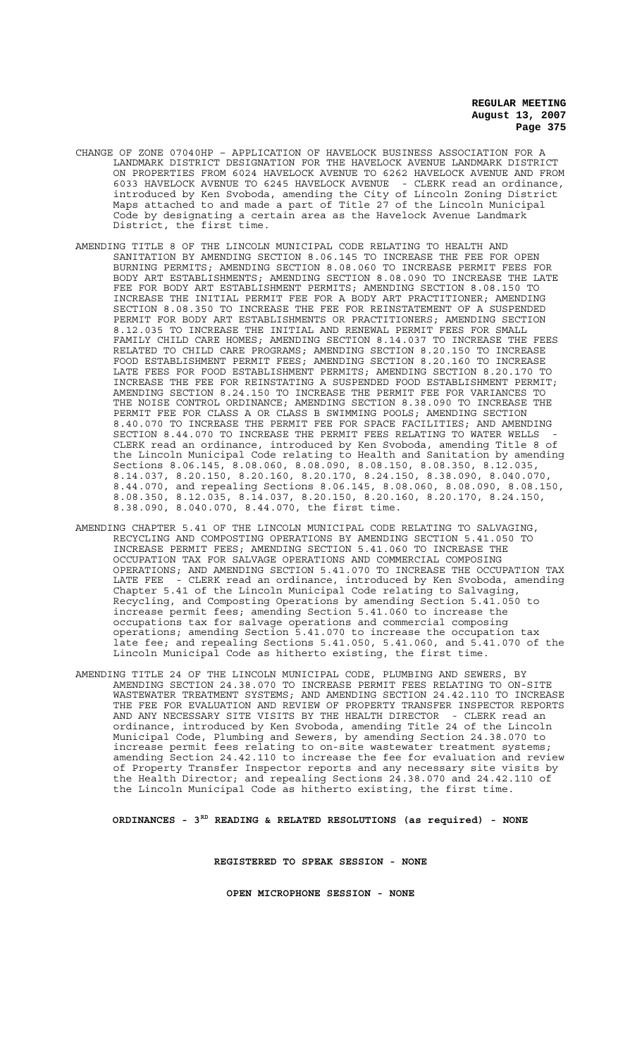- CHANGE OF ZONE 07040HP APPLICATION OF HAVELOCK BUSINESS ASSOCIATION FOR A LANDMARK DISTRICT DESIGNATION FOR THE HAVELOCK AVENUE LANDMARK DISTRICT ON PROPERTIES FROM 6024 HAVELOCK AVENUE TO 6262 HAVELOCK AVENUE AND FROM 6033 HAVELOCK AVENUE TO 6245 HAVELOCK AVENUE - CLERK read an ordinance, introduced by Ken Svoboda, amending the City of Lincoln Zoning District Maps attached to and made a part of Title 27 of the Lincoln Municipal Code by designating a certain area as the Havelock Avenue Landmark District, the first time.
- AMENDING TITLE 8 OF THE LINCOLN MUNICIPAL CODE RELATING TO HEALTH AND SANITATION BY AMENDING SECTION 8.06.145 TO INCREASE THE FEE FOR OPEN BURNING PERMITS; AMENDING SECTION 8.08.060 TO INCREASE PERMIT FEES FOR BODY ART ESTABLISHMENTS; AMENDING SECTION 8.08.090 TO INCREASE THE LATE FEE FOR BODY ART ESTABLISHMENT PERMITS; AMENDING SECTION 8.08.150 TO INCREASE THE INITIAL PERMIT FEE FOR A BODY ART PRACTITIONER; AMENDING SECTION 8.08.350 TO INCREASE THE FEE FOR REINSTATEMENT OF A SUSPENDED PERMIT FOR BODY ART ESTABLISHMENTS OR PRACTITIONERS; AMENDING SECTION 8.12.035 TO INCREASE THE INITIAL AND RENEWAL PERMIT FEES FOR SMALL FAMILY CHILD CARE HOMES; AMENDING SECTION 8.14.037 TO INCREASE THE FEES RELATED TO CHILD CARE PROGRAMS; AMENDING SECTION 8.20.150 TO INCREASE FOOD ESTABLISHMENT PERMIT FEES; AMENDING SECTION 8.20.160 TO INCREASE LATE FEES FOR FOOD ESTABLISHMENT PERMITS; AMENDING SECTION 8.20.170 TO INCREASE THE FEE FOR REINSTATING A SUSPENDED FOOD ESTABLISHMENT PERMIT; AMENDING SECTION 8.24.150 TO INCREASE THE PERMIT FEE FOR VARIANCES TO THE NOISE CONTROL ORDINANCE; AMENDING SECTION 8.38.090 TO INCREASE THE PERMIT FEE FOR CLASS A OR CLASS B SWIMMING POOLS; AMENDING SECTION 8.40.070 TO INCREASE THE PERMIT FEE FOR SPACE FACILITIES; AND AMENDING SECTION 8.44.070 TO INCREASE THE PERMIT FEES RELATING TO WATER WELLS - CLERK read an ordinance, introduced by Ken Svoboda, amending Title 8 of the Lincoln Municipal Code relating to Health and Sanitation by amending Sections 8.06.145, 8.08.060, 8.08.090, 8.08.150, 8.08.350, 8.12.035, 8.14.037, 8.20.150, 8.20.160, 8.20.170, 8.24.150, 8.38.090, 8.040.070, 8.44.070, and repealing Sections 8.06.145, 8.08.060, 8.08.090, 8.08.150, 8.08.350, 8.12.035, 8.14.037, 8.20.150, 8.20.160, 8.20.170, 8.24.150, 8.38.090, 8.040.070, 8.44.070, the first time.
- AMENDING CHAPTER 5.41 OF THE LINCOLN MUNICIPAL CODE RELATING TO SALVAGING, RECYCLING AND COMPOSTING OPERATIONS BY AMENDING SECTION 5.41.050 TO INCREASE PERMIT FEES; AMENDING SECTION 5.41.060 TO INCREASE THE OCCUPATION TAX FOR SALVAGE OPERATIONS AND COMMERCIAL COMPOSING OPERATIONS; AND AMENDING SECTION 5.41.070 TO INCREASE THE OCCUPATION TAX LATE FEE - CLERK read an ordinance, introduced by Ken Svoboda, amending Chapter 5.41 of the Lincoln Municipal Code relating to Salvaging, Recycling, and Composting Operations by amending Section 5.41.050 to increase permit fees; amending Section 5.41.060 to increase the occupations tax for salvage operations and commercial composing operations; amending Section 5.41.070 to increase the occupation tax late fee; and repealing Sections 5.41.050, 5.41.060, and 5.41.070 of the Lincoln Municipal Code as hitherto existing, the first time.
- AMENDING TITLE 24 OF THE LINCOLN MUNICIPAL CODE, PLUMBING AND SEWERS, BY AMENDING SECTION 24.38.070 TO INCREASE PERMIT FEES RELATING TO ON-SITE WASTEWATER TREATMENT SYSTEMS; AND AMENDING SECTION 24.42.110 TO INCREASE THE FEE FOR EVALUATION AND REVIEW OF PROPERTY TRANSFER INSPECTOR REPORTS AND ANY NECESSARY SITE VISITS BY THE HEALTH DIRECTOR - CLERK read an ordinance, introduced by Ken Svoboda, amending Title 24 of the Lincoln Municipal Code, Plumbing and Sewers, by amending Section 24.38.070 to increase permit fees relating to on-site wastewater treatment systems; amending Section 24.42.110 to increase the fee for evaluation and review of Property Transfer Inspector reports and any necessary site visits by the Health Director; and repealing Sections 24.38.070 and 24.42.110 of the Lincoln Municipal Code as hitherto existing, the first time.

**ORDINANCES - 3RD READING & RELATED RESOLUTIONS (as required) - NONE**

**REGISTERED TO SPEAK SESSION - NONE**

**OPEN MICROPHONE SESSION - NONE**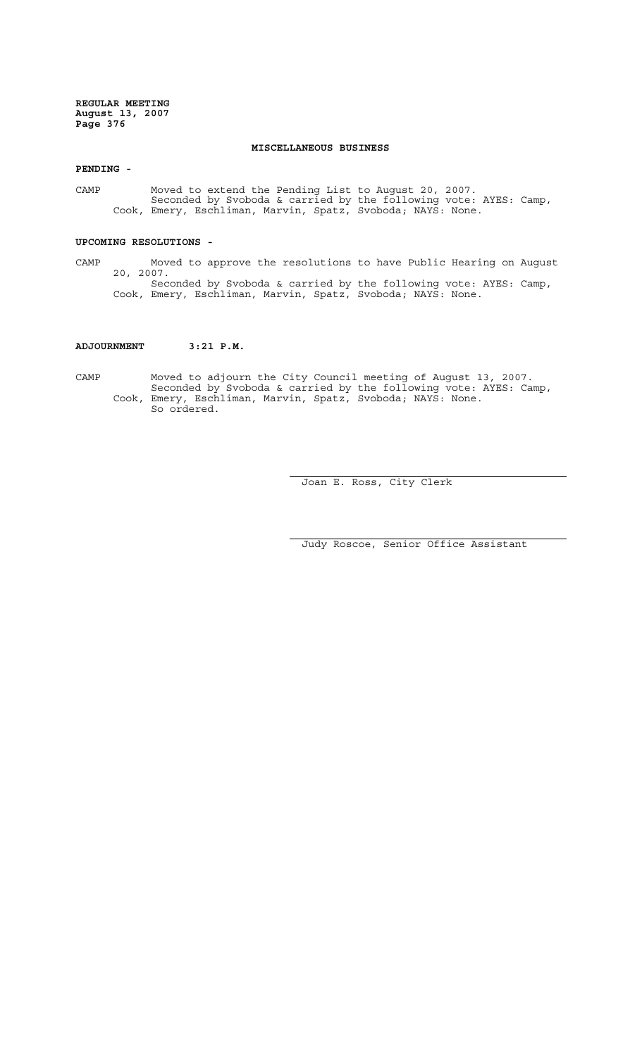#### **MISCELLANEOUS BUSINESS**

**PENDING -**

CAMP Moved to extend the Pending List to August 20, 2007. Seconded by Svoboda & carried by the following vote: AYES: Camp, Cook, Emery, Eschliman, Marvin, Spatz, Svoboda; NAYS: None.

#### **UPCOMING RESOLUTIONS -**

CAMP Moved to approve the resolutions to have Public Hearing on August 20, 2007. Seconded by Svoboda & carried by the following vote: AYES: Camp, Cook, Emery, Eschliman, Marvin, Spatz, Svoboda; NAYS: None.

#### **ADJOURNMENT 3:21 P.M.**

CAMP Moved to adjourn the City Council meeting of August 13, 2007. Seconded by Svoboda & carried by the following vote: AYES: Camp, Cook, Emery, Eschliman, Marvin, Spatz, Svoboda; NAYS: None. So ordered.

Joan E. Ross, City Clerk

Judy Roscoe, Senior Office Assistant